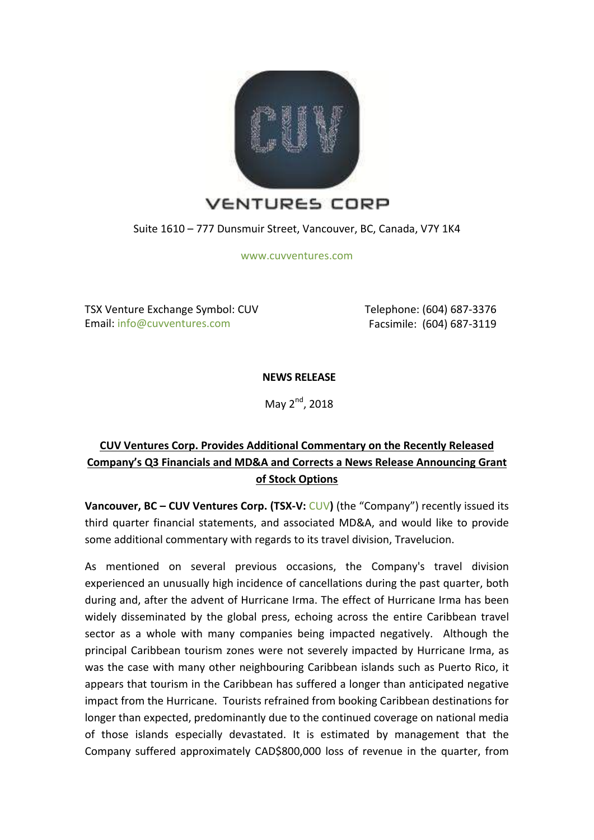

Suite 1610 – 777 Dunsmuir Street, Vancouver, BC, Canada, V7Y 1K4

[www.cuvventures.com](http://www.cuvventures.com/)

TSX Venture Exchange Symbol: CUV Email: [info@cuvventures.com](mailto:info@cuvventures.com)

 Telephone: (604) 687-3376 Facsimile: (604) 687-3119

**NEWS RELEASE**

May  $2<sup>nd</sup>$ , 2018

## **CUV Ventures Corp. Provides Additional Commentary on the Recently Released Company's Q3 Financials and MD&A and Corrects a News Release Announcing Grant of Stock Options**

**Vancouver, BC – [CUV](http://web.tmxmoney.com/quote.php?qm_symbol=CUV) Ventures Corp. (TSX-V: CUV) (the "Company") recently issued its** third quarter financial statements, and associated MD&A, and would like to provide some additional commentary with regards to its travel division, Travelucion.

As mentioned on several previous occasions, the Company's travel division experienced an unusually high incidence of cancellations during the past quarter, both during and, after the advent of Hurricane Irma. The effect of Hurricane Irma has been widely disseminated by the global press, echoing across the entire Caribbean travel sector as a whole with many companies being impacted negatively. Although the principal Caribbean tourism zones were not severely impacted by Hurricane Irma, as was the case with many other neighbouring Caribbean islands such as Puerto Rico, it appears that tourism in the Caribbean has suffered a longer than anticipated negative impact from the Hurricane. Tourists refrained from booking Caribbean destinations for longer than expected, predominantly due to the continued coverage on national media of those islands especially devastated. It is estimated by management that the Company suffered approximately CAD\$800,000 loss of revenue in the quarter, from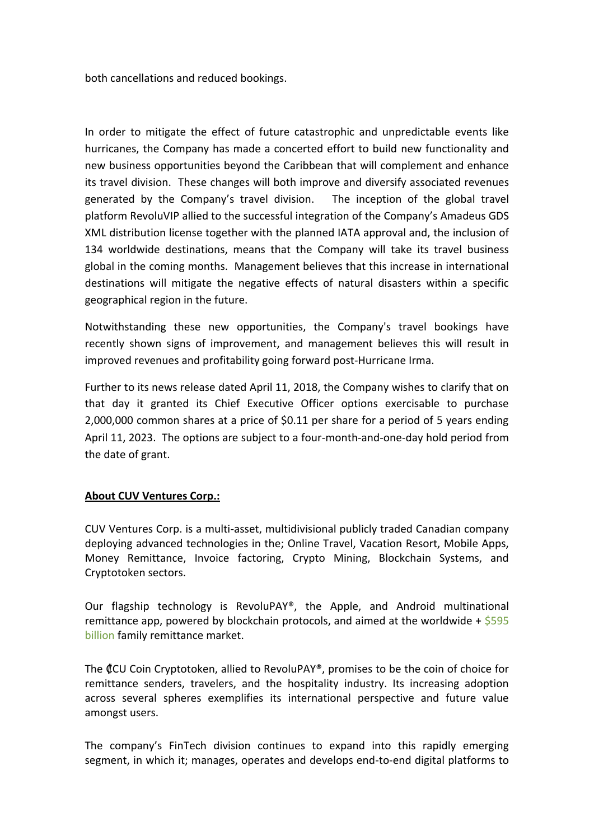both cancellations and reduced bookings.

In order to mitigate the effect of future catastrophic and unpredictable events like hurricanes, the Company has made a concerted effort to build new functionality and new business opportunities beyond the Caribbean that will complement and enhance its travel division. These changes will both improve and diversify associated revenues generated by the Company's travel division. The inception of the global travel platform RevoluVIP allied to the successful integration of the Company's Amadeus GDS XML distribution license together with the planned IATA approval and, the inclusion of 134 worldwide destinations, means that the Company will take its travel business global in the coming months. Management believes that this increase in international destinations will mitigate the negative effects of natural disasters within a specific geographical region in the future.

Notwithstanding these new opportunities, the Company's travel bookings have recently shown signs of improvement, and management believes this will result in improved revenues and profitability going forward post-Hurricane Irma.

Further to its news release dated April 11, 2018, the Company wishes to clarify that on that day it granted its Chief Executive Officer options exercisable to purchase 2,000,000 common shares at a price of \$0.11 per share for a period of 5 years ending April 11, 2023. The options are subject to a four-month-and-one-day hold period from the date of grant.

## **About CUV Ventures Corp.:**

CUV Ventures Corp. is a multi-asset, multidivisional publicly traded Canadian company deploying advanced technologies in the; Online Travel, Vacation Resort, Mobile Apps, Money Remittance, Invoice factoring, Crypto Mining, Blockchain Systems, and Cryptotoken sectors.

Our flagship technology is RevoluPAY®, the Apple, and Android multinational remittance app, powered by blockchain protocols, and aimed at the worldwide  $+$  [\\$595](http://www.worldbank.org/en/topic/migrationremittancesdiasporaissues/brief/migration-remittances-data) [billion](http://www.worldbank.org/en/topic/migrationremittancesdiasporaissues/brief/migration-remittances-data) family remittance market.

The ₡CU Coin Cryptotoken, allied to RevoluPAY®, promises to be the coin of choice for remittance senders, travelers, and the hospitality industry. Its increasing adoption across several spheres exemplifies its international perspective and future value amongst users.

The company's FinTech division continues to expand into this rapidly emerging segment, in which it; manages, operates and develops end-to-end digital platforms to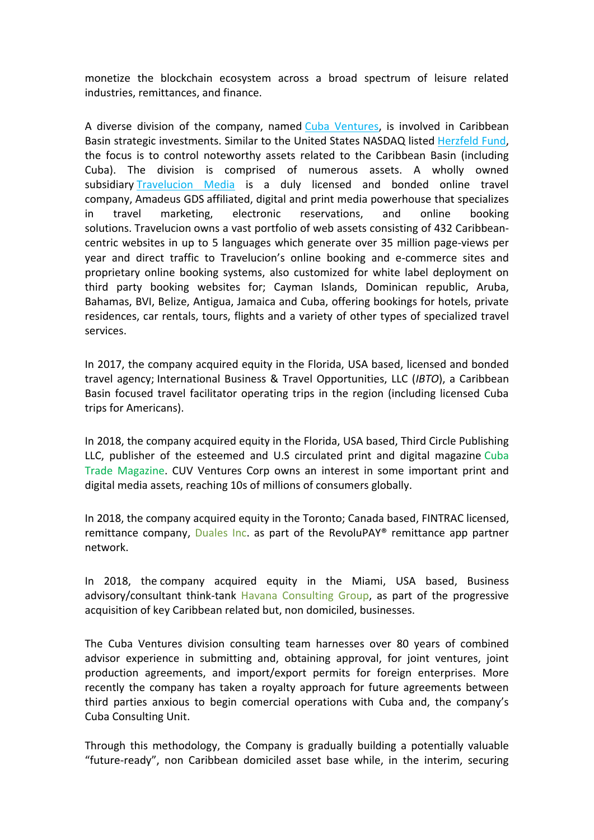monetize the blockchain ecosystem across a broad spectrum of leisure related industries, remittances, and finance.

A diverse division of the company, named [Cuba Ventures,](http://www.cubaventures.com/) is involved in Caribbean Basin strategic investments. Similar to the United States NASDAQ listed [Herzfeld Fund,](https://www.herzfeld.com/cuba) the focus is to control noteworthy assets related to the Caribbean Basin (including Cuba). The division is comprised of numerous assets. A wholly owned subsidiary [Travelucion Media](http://www.travelucion.com/) is a duly licensed and bonded online travel company, [Amadeus GDS](http://www.amadeus.com/) affiliated, digital and print media powerhouse that specializes in travel marketing, electronic reservations, and online booking solutions. [Travelucion](http://www.travelucion.com/) owns a vast portfolio of web assets consisting of 432 Caribbeancentric websites in up to 5 languages which generate over 35 million page-views per year and direct traffic to Travelucion's online booking and e-commerce sites and proprietary online booking systems, also customized for white label deployment on third party booking websites for; Cayman Islands, Dominican republic, Aruba, Bahamas, BVI, Belize, Antigua, Jamaica and Cuba, offering bookings for hotels, private residences, car rentals, tours, flights and a variety of other types of specialized travel services.

In 2017, the company acquired equity in the Florida, USA based, licensed and bonded travel agency; International Business & Travel Opportunities, LLC (*IBTO*), a Caribbean Basin focused travel facilitator operating trips in the region (including licensed Cuba trips for Americans).

In 2018, the company acquired equity in the Florida, USA based, Third Circle Publishing LLC, publisher of the esteemed and U.S circulated print and digital magazine [Cuba](http://www.cubatrademagazine.com/)  [Trade Magazine.](http://www.cubatrademagazine.com/) CUV Ventures Corp owns an interest in some important print and digital media assets, reaching 10s of millions of consumers globally.

In 2018, the company acquired equity in the Toronto; Canada based, FINTRAC licensed, remittance company, [Duales Inc.](http://www.duales.com/) as part of the RevoluPAY<sup>®</sup> remittance app partner network.

In 2018, the company acquired equity in the Miami, USA based, Business advisory/consultant think-tank [Havana Consulting Group,](http://www.thehavanaconsultinggroup.com/) as part of the progressive acquisition of key Caribbean related but, non domiciled, businesses.

The Cuba Ventures division consulting team harnesses over 80 years of combined advisor experience in submitting and, obtaining approval, for joint ventures, joint production agreements, and import/export permits for foreign enterprises. More recently the company has taken a royalty approach for future agreements between third parties anxious to begin comercial operations with Cuba and, the company's Cuba Consulting Unit.

Through this methodology, the Company is gradually building a potentially valuable "future-ready", non Caribbean domiciled asset base while, in the interim, securing